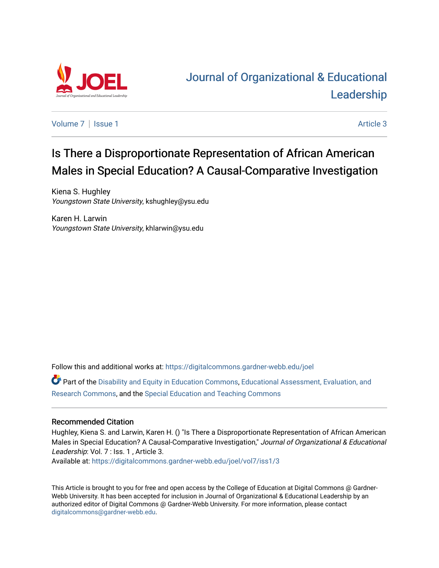

# [Journal of Organizational & Educational](https://digitalcommons.gardner-webb.edu/joel)  [Leadership](https://digitalcommons.gardner-webb.edu/joel)

[Volume 7](https://digitalcommons.gardner-webb.edu/joel/vol7) | [Issue 1](https://digitalcommons.gardner-webb.edu/joel/vol7/iss1) Article 3

# Is There a Disproportionate Representation of African American Males in Special Education? A Causal-Comparative Investigation

Kiena S. Hughley Youngstown State University, kshughley@ysu.edu

Karen H. Larwin Youngstown State University, khlarwin@ysu.edu

Follow this and additional works at: [https://digitalcommons.gardner-webb.edu/joel](https://digitalcommons.gardner-webb.edu/joel?utm_source=digitalcommons.gardner-webb.edu%2Fjoel%2Fvol7%2Fiss1%2F3&utm_medium=PDF&utm_campaign=PDFCoverPages) 

Part of the [Disability and Equity in Education Commons](http://network.bepress.com/hgg/discipline/1040?utm_source=digitalcommons.gardner-webb.edu%2Fjoel%2Fvol7%2Fiss1%2F3&utm_medium=PDF&utm_campaign=PDFCoverPages), [Educational Assessment, Evaluation, and](http://network.bepress.com/hgg/discipline/796?utm_source=digitalcommons.gardner-webb.edu%2Fjoel%2Fvol7%2Fiss1%2F3&utm_medium=PDF&utm_campaign=PDFCoverPages) [Research Commons,](http://network.bepress.com/hgg/discipline/796?utm_source=digitalcommons.gardner-webb.edu%2Fjoel%2Fvol7%2Fiss1%2F3&utm_medium=PDF&utm_campaign=PDFCoverPages) and the [Special Education and Teaching Commons](http://network.bepress.com/hgg/discipline/801?utm_source=digitalcommons.gardner-webb.edu%2Fjoel%2Fvol7%2Fiss1%2F3&utm_medium=PDF&utm_campaign=PDFCoverPages) 

#### Recommended Citation

Hughley, Kiena S. and Larwin, Karen H. () "Is There a Disproportionate Representation of African American Males in Special Education? A Causal-Comparative Investigation," Journal of Organizational & Educational Leadership: Vol. 7 : Iss. 1, Article 3.

Available at: [https://digitalcommons.gardner-webb.edu/joel/vol7/iss1/3](https://digitalcommons.gardner-webb.edu/joel/vol7/iss1/3?utm_source=digitalcommons.gardner-webb.edu%2Fjoel%2Fvol7%2Fiss1%2F3&utm_medium=PDF&utm_campaign=PDFCoverPages)

This Article is brought to you for free and open access by the College of Education at Digital Commons @ Gardner-Webb University. It has been accepted for inclusion in Journal of Organizational & Educational Leadership by an authorized editor of Digital Commons @ Gardner-Webb University. For more information, please contact [digitalcommons@gardner-webb.edu](mailto:digitalcommons@gardner-webb.edu).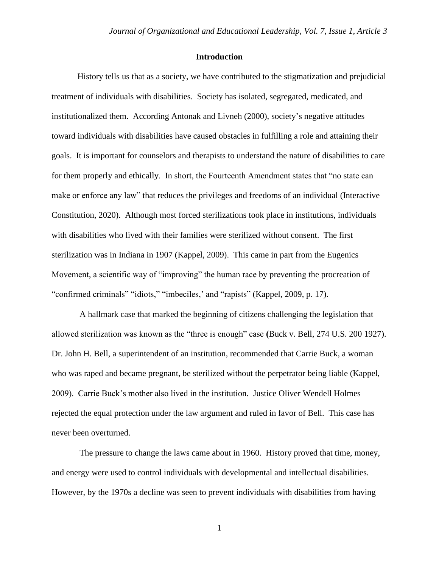#### **Introduction**

History tells us that as a society, we have contributed to the stigmatization and prejudicial treatment of individuals with disabilities. Society has isolated, segregated, medicated, and institutionalized them. According Antonak and Livneh (2000), society's negative attitudes toward individuals with disabilities have caused obstacles in fulfilling a role and attaining their goals. It is important for counselors and therapists to understand the nature of disabilities to care for them properly and ethically. In short, the Fourteenth Amendment states that "no state can make or enforce any law" that reduces the privileges and freedoms of an individual (Interactive Constitution, 2020). Although most forced sterilizations took place in institutions, individuals with disabilities who lived with their families were sterilized without consent. The first sterilization was in Indiana in 1907 (Kappel, 2009). This came in part from the Eugenics Movement, a scientific way of "improving" the human race by preventing the procreation of "confirmed criminals" "idiots," "imbeciles,' and "rapists" (Kappel, 2009, p. 17).

A hallmark case that marked the beginning of citizens challenging the legislation that allowed sterilization was known as the "three is enough" case **(**Buck v. Bell, 274 U.S. 200 1927). Dr. John H. Bell, a superintendent of an institution, recommended that Carrie Buck, a woman who was raped and became pregnant, be sterilized without the perpetrator being liable (Kappel, 2009). Carrie Buck's mother also lived in the institution. Justice Oliver Wendell Holmes rejected the equal protection under the law argument and ruled in favor of Bell. This case has never been overturned.

The pressure to change the laws came about in 1960. History proved that time, money, and energy were used to control individuals with developmental and intellectual disabilities. However, by the 1970s a decline was seen to prevent individuals with disabilities from having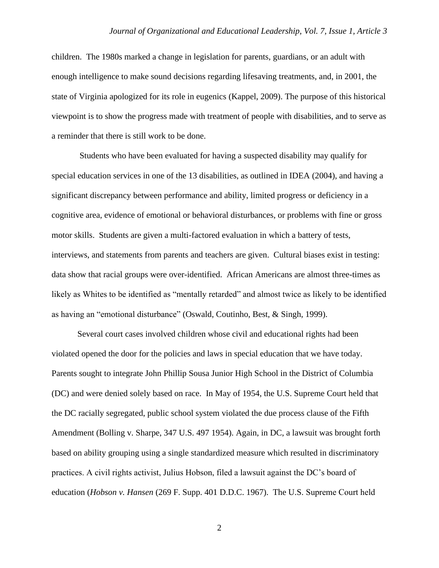children. The 1980s marked a change in legislation for parents, guardians, or an adult with enough intelligence to make sound decisions regarding lifesaving treatments, and, in 2001, the state of Virginia apologized for its role in eugenics (Kappel, 2009). The purpose of this historical viewpoint is to show the progress made with treatment of people with disabilities, and to serve as a reminder that there is still work to be done.

Students who have been evaluated for having a suspected disability may qualify for special education services in one of the 13 disabilities, as outlined in IDEA (2004), and having a significant discrepancy between performance and ability, limited progress or deficiency in a cognitive area, evidence of emotional or behavioral disturbances, or problems with fine or gross motor skills. Students are given a multi-factored evaluation in which a battery of tests, interviews, and statements from parents and teachers are given. Cultural biases exist in testing: data show that racial groups were over-identified. African Americans are almost three-times as likely as Whites to be identified as "mentally retarded" and almost twice as likely to be identified as having an "emotional disturbance" (Oswald, Coutinho, Best, & Singh, 1999).

Several court cases involved children whose civil and educational rights had been violated opened the door for the policies and laws in special education that we have today. Parents sought to integrate John Phillip Sousa Junior High School in the District of Columbia (DC) and were denied solely based on race. In May of 1954, the U.S. Supreme Court held that the DC racially segregated, public school system violated the due process clause of the Fifth Amendment (Bolling v. Sharpe, 347 U.S. 497 1954). Again, in DC, a lawsuit was brought forth based on ability grouping using a single standardized measure which resulted in discriminatory practices. A civil rights activist, Julius Hobson, filed a lawsuit against the DC's board of education (*Hobson v. Hansen* (269 F. Supp. 401 D.D.C. 1967). The U.S. Supreme Court held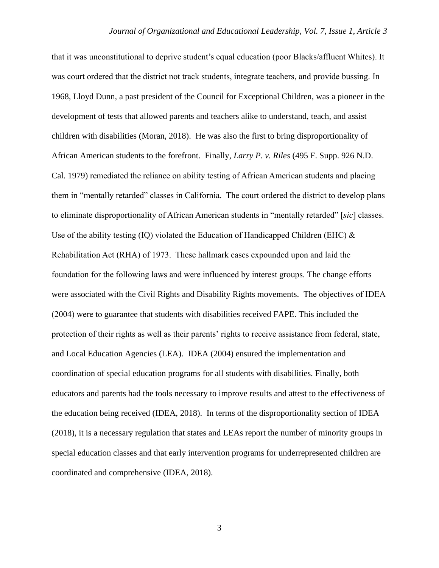that it was unconstitutional to deprive student's equal education (poor Blacks/affluent Whites). It was court ordered that the district not track students, integrate teachers, and provide bussing. In 1968, Lloyd Dunn, a past president of the Council for Exceptional Children, was a pioneer in the development of tests that allowed parents and teachers alike to understand, teach, and assist children with disabilities (Moran, 2018). He was also the first to bring disproportionality of African American students to the forefront. Finally, *Larry P. v. Riles* (495 F. Supp. 926 N.D. Cal. 1979) remediated the reliance on ability testing of African American students and placing them in "mentally retarded" classes in California. The court ordered the district to develop plans to eliminate disproportionality of African American students in "mentally retarded" [*sic*] classes. Use of the ability testing (IQ) violated the Education of Handicapped Children (EHC)  $\&$ Rehabilitation Act (RHA) of 1973. These hallmark cases expounded upon and laid the foundation for the following laws and were influenced by interest groups. The change efforts were associated with the Civil Rights and Disability Rights movements. The objectives of IDEA (2004) were to guarantee that students with disabilities received FAPE. This included the protection of their rights as well as their parents' rights to receive assistance from federal, state, and Local Education Agencies (LEA). IDEA (2004) ensured the implementation and coordination of special education programs for all students with disabilities. Finally, both educators and parents had the tools necessary to improve results and attest to the effectiveness of the education being received (IDEA, 2018). In terms of the disproportionality section of IDEA (2018), it is a necessary regulation that states and LEAs report the number of minority groups in special education classes and that early intervention programs for underrepresented children are coordinated and comprehensive (IDEA, 2018).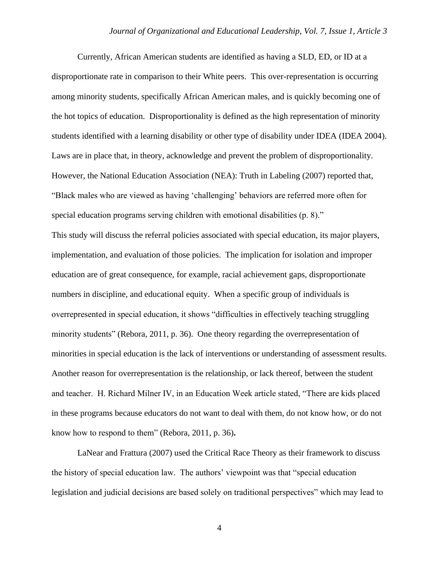Currently, African American students are identified as having a SLD, ED, or ID at a disproportionate rate in comparison to their White peers. This over-representation is occurring among minority students, specifically African American males, and is quickly becoming one of the hot topics of education. Disproportionality is defined as the high representation of minority students identified with a learning disability or other type of disability under IDEA (IDEA 2004). Laws are in place that, in theory, acknowledge and prevent the problem of disproportionality. However, the National Education Association (NEA): Truth in Labeling (2007) reported that, "Black males who are viewed as having 'challenging' behaviors are referred more often for special education programs serving children with emotional disabilities (p. 8)." This study will discuss the referral policies associated with special education, its major players, implementation, and evaluation of those policies. The implication for isolation and improper education are of great consequence, for example, racial achievement gaps, disproportionate numbers in discipline, and educational equity. When a specific group of individuals is overrepresented in special education, it shows "difficulties in effectively teaching struggling minority students" (Rebora, 2011, p. 36). One theory regarding the overrepresentation of minorities in special education is the lack of interventions or understanding of assessment results. Another reason for overrepresentation is the relationship, or lack thereof, between the student and teacher. H. Richard Milner IV, in an Education Week article stated, "There are kids placed in these programs because educators do not want to deal with them, do not know how, or do not know how to respond to them" (Rebora, 2011, p. 36)**.** 

LaNear and Frattura (2007) used the Critical Race Theory as their framework to discuss the history of special education law. The authors' viewpoint was that "special education legislation and judicial decisions are based solely on traditional perspectives" which may lead to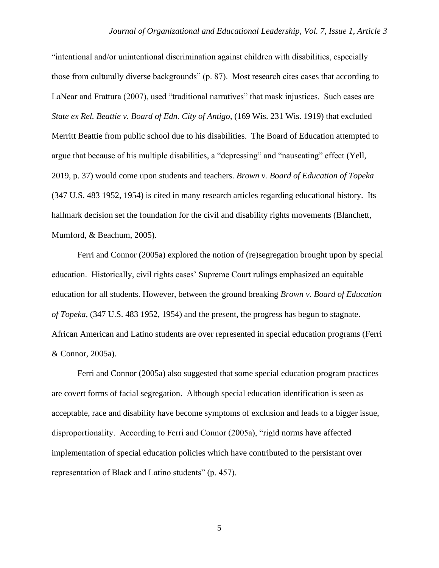"intentional and/or unintentional discrimination against children with disabilities, especially those from culturally diverse backgrounds" (p. 87). Most research cites cases that according to LaNear and Frattura (2007), used "traditional narratives" that mask injustices. Such cases are *State ex Rel. Beattie v. Board of Edn. City of Antigo*, (169 Wis. 231 Wis. 1919) that excluded Merritt Beattie from public school due to his disabilities. The Board of Education attempted to argue that because of his multiple disabilities, a "depressing" and "nauseating" effect (Yell, 2019, p. 37) would come upon students and teachers. *Brown v. Board of Education of Topeka* (347 U.S. 483 1952, 1954) is cited in many research articles regarding educational history. Its hallmark decision set the foundation for the civil and disability rights movements (Blanchett, Mumford, & Beachum, 2005).

Ferri and Connor (2005a) explored the notion of (re)segregation brought upon by special education. Historically, civil rights cases' Supreme Court rulings emphasized an equitable education for all students. However, between the ground breaking *Brown v. Board of Education of Topeka*, (347 U.S. 483 1952, 1954) and the present, the progress has begun to stagnate. African American and Latino students are over represented in special education programs (Ferri & Connor, 2005a).

Ferri and Connor (2005a) also suggested that some special education program practices are covert forms of facial segregation. Although special education identification is seen as acceptable, race and disability have become symptoms of exclusion and leads to a bigger issue, disproportionality. According to Ferri and Connor (2005a), "rigid norms have affected implementation of special education policies which have contributed to the persistant over representation of Black and Latino students" (p. 457).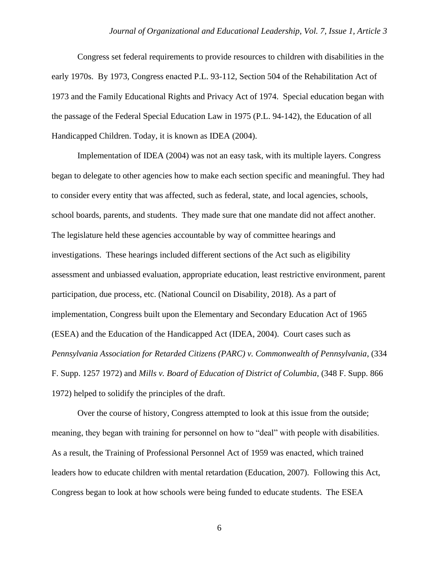Congress set federal requirements to provide resources to children with disabilities in the early 1970s. By 1973, Congress enacted P.L. 93-112, Section 504 of the Rehabilitation Act of 1973 and the Family Educational Rights and Privacy Act of 1974. Special education began with the passage of the Federal Special Education Law in 1975 (P.L. 94-142), the Education of all Handicapped Children. Today, it is known as IDEA (2004).

Implementation of IDEA (2004) was not an easy task, with its multiple layers. Congress began to delegate to other agencies how to make each section specific and meaningful. They had to consider every entity that was affected, such as federal, state, and local agencies, schools, school boards, parents, and students. They made sure that one mandate did not affect another. The legislature held these agencies accountable by way of committee hearings and investigations. These hearings included different sections of the Act such as eligibility assessment and unbiassed evaluation, appropriate education, least restrictive environment, parent participation, due process, etc. (National Council on Disability, 2018). As a part of implementation, Congress built upon the Elementary and Secondary Education Act of 1965 (ESEA) and the Education of the Handicapped Act (IDEA, 2004). Court cases such as *Pennsylvania Association for Retarded Citizens (PARC) v. Commonwealth of Pennsylvania*, (334 F. Supp. 1257 1972) and *Mills v. Board of Education of District of Columbia*, (348 F. Supp. 866 1972) helped to solidify the principles of the draft.

Over the course of history, Congress attempted to look at this issue from the outside; meaning, they began with training for personnel on how to "deal" with people with disabilities. As a result, the Training of Professional Personnel Act of 1959 was enacted, which trained leaders how to educate children with mental retardation (Education, 2007). Following this Act, Congress began to look at how schools were being funded to educate students. The ESEA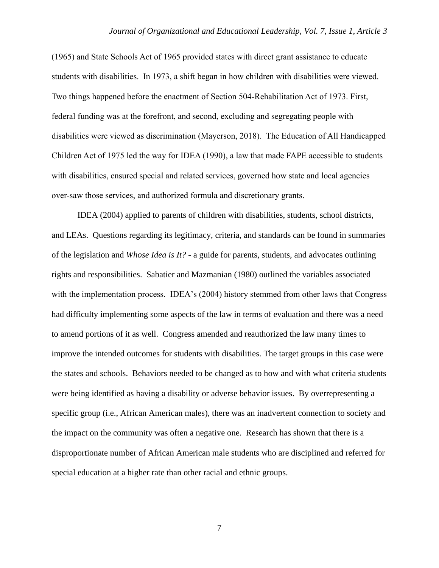(1965) and State Schools Act of 1965 provided states with direct grant assistance to educate students with disabilities. In 1973, a shift began in how children with disabilities were viewed. Two things happened before the enactment of Section 504-Rehabilitation Act of 1973. First, federal funding was at the forefront, and second, excluding and segregating people with disabilities were viewed as discrimination (Mayerson, 2018). The Education of All Handicapped Children Act of 1975 led the way for IDEA (1990), a law that made FAPE accessible to students with disabilities, ensured special and related services, governed how state and local agencies over-saw those services, and authorized formula and discretionary grants.

IDEA (2004) applied to parents of children with disabilities, students, school districts, and LEAs. Questions regarding its legitimacy, criteria, and standards can be found in summaries of the legislation and *Whose Idea is It?* - a guide for parents, students, and advocates outlining rights and responsibilities. Sabatier and Mazmanian (1980) outlined the variables associated with the implementation process. IDEA's (2004) history stemmed from other laws that Congress had difficulty implementing some aspects of the law in terms of evaluation and there was a need to amend portions of it as well. Congress amended and reauthorized the law many times to improve the intended outcomes for students with disabilities. The target groups in this case were the states and schools. Behaviors needed to be changed as to how and with what criteria students were being identified as having a disability or adverse behavior issues. By overrepresenting a specific group (i.e., African American males), there was an inadvertent connection to society and the impact on the community was often a negative one. Research has shown that there is a disproportionate number of African American male students who are disciplined and referred for special education at a higher rate than other racial and ethnic groups.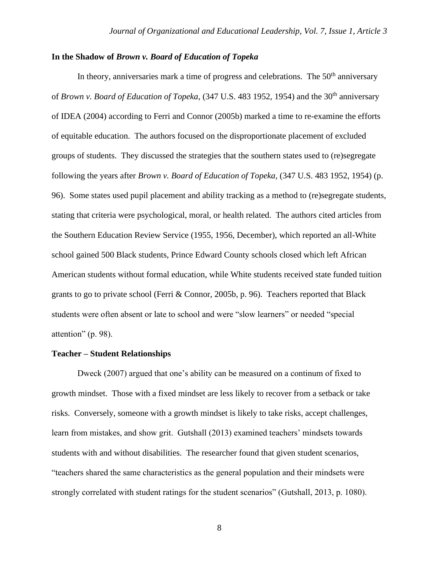### **In the Shadow of** *Brown v. Board of Education of Topeka*

In theory, anniversaries mark a time of progress and celebrations. The  $50<sup>th</sup>$  anniversary of *Brown v. Board of Education of Topeka*, (347 U.S. 483 1952, 1954) and the 30<sup>th</sup> anniversary of IDEA (2004) according to Ferri and Connor (2005b) marked a time to re-examine the efforts of equitable education. The authors focused on the disproportionate placement of excluded groups of students. They discussed the strategies that the southern states used to (re)segregate following the years after *Brown v. Board of Education of Topeka*, (347 U.S. 483 1952, 1954) (p. 96). Some states used pupil placement and ability tracking as a method to (re)segregate students, stating that criteria were psychological, moral, or health related. The authors cited articles from the Southern Education Review Service (1955, 1956, December), which reported an all-White school gained 500 Black students, Prince Edward County schools closed which left African American students without formal education, while White students received state funded tuition grants to go to private school (Ferri & Connor, 2005b, p. 96). Teachers reported that Black students were often absent or late to school and were "slow learners" or needed "special attention" (p. 98).

#### **Teacher – Student Relationships**

Dweck (2007) argued that one's ability can be measured on a continum of fixed to growth mindset. Those with a fixed mindset are less likely to recover from a setback or take risks. Conversely, someone with a growth mindset is likely to take risks, accept challenges, learn from mistakes, and show grit. Gutshall (2013) examined teachers' mindsets towards students with and without disabilities. The researcher found that given student scenarios, "teachers shared the same characteristics as the general population and their mindsets were strongly correlated with student ratings for the student scenarios" (Gutshall, 2013, p. 1080).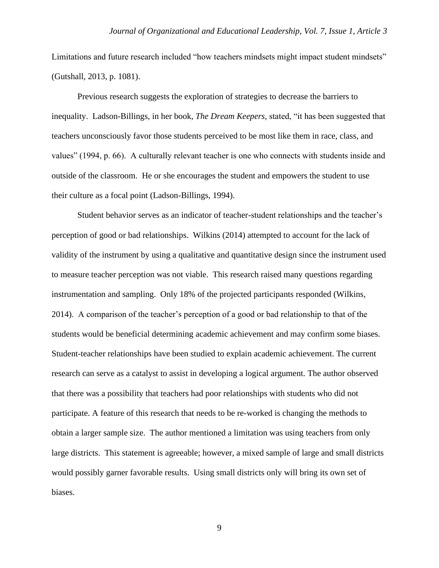Limitations and future research included "how teachers mindsets might impact student mindsets" (Gutshall, 2013, p. 1081).

Previous research suggests the exploration of strategies to decrease the barriers to inequality. Ladson-Billings, in her book, *The Dream Keepers,* stated, "it has been suggested that teachers unconsciously favor those students perceived to be most like them in race, class, and values" (1994, p. 66). A culturally relevant teacher is one who connects with students inside and outside of the classroom. He or she encourages the student and empowers the student to use their culture as a focal point (Ladson-Billings, 1994).

Student behavior serves as an indicator of teacher-student relationships and the teacher's perception of good or bad relationships. Wilkins (2014) attempted to account for the lack of validity of the instrument by using a qualitative and quantitative design since the instrument used to measure teacher perception was not viable. This research raised many questions regarding instrumentation and sampling. Only 18% of the projected participants responded (Wilkins, 2014). A comparison of the teacher's perception of a good or bad relationship to that of the students would be beneficial determining academic achievement and may confirm some biases. Student-teacher relationships have been studied to explain academic achievement. The current research can serve as a catalyst to assist in developing a logical argument. The author observed that there was a possibility that teachers had poor relationships with students who did not participate. A feature of this research that needs to be re-worked is changing the methods to obtain a larger sample size. The author mentioned a limitation was using teachers from only large districts. This statement is agreeable; however, a mixed sample of large and small districts would possibly garner favorable results. Using small districts only will bring its own set of biases.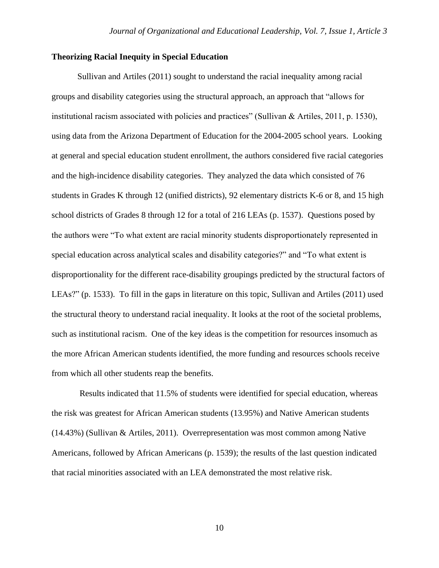#### **Theorizing Racial Inequity in Special Education**

Sullivan and Artiles (2011) sought to understand the racial inequality among racial groups and disability categories using the structural approach, an approach that "allows for institutional racism associated with policies and practices" (Sullivan & Artiles, 2011, p. 1530), using data from the Arizona Department of Education for the 2004-2005 school years. Looking at general and special education student enrollment, the authors considered five racial categories and the high-incidence disability categories. They analyzed the data which consisted of 76 students in Grades K through 12 (unified districts), 92 elementary districts K-6 or 8, and 15 high school districts of Grades 8 through 12 for a total of 216 LEAs (p. 1537). Questions posed by the authors were "To what extent are racial minority students disproportionately represented in special education across analytical scales and disability categories?" and "To what extent is disproportionality for the different race-disability groupings predicted by the structural factors of LEAs?" (p. 1533). To fill in the gaps in literature on this topic, Sullivan and Artiles (2011) used the structural theory to understand racial inequality. It looks at the root of the societal problems, such as institutional racism. One of the key ideas is the competition for resources insomuch as the more African American students identified, the more funding and resources schools receive from which all other students reap the benefits.

Results indicated that 11.5% of students were identified for special education, whereas the risk was greatest for African American students (13.95%) and Native American students (14.43%) (Sullivan & Artiles, 2011). Overrepresentation was most common among Native Americans, followed by African Americans (p. 1539); the results of the last question indicated that racial minorities associated with an LEA demonstrated the most relative risk.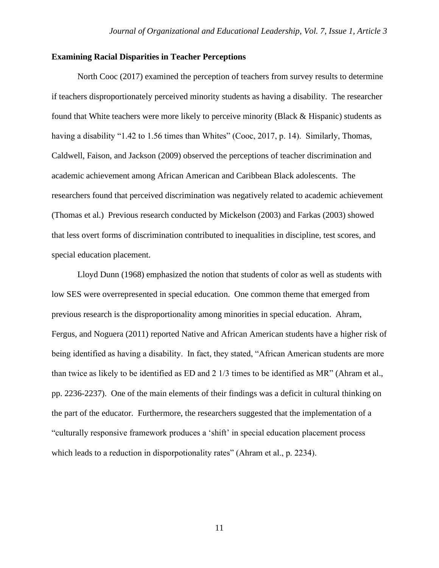#### **Examining Racial Disparities in Teacher Perceptions**

North Cooc (2017) examined the perception of teachers from survey results to determine if teachers disproportionately perceived minority students as having a disability. The researcher found that White teachers were more likely to perceive minority (Black & Hispanic) students as having a disability "1.42 to 1.56 times than Whites" (Cooc, 2017, p. 14). Similarly, Thomas, Caldwell, Faison, and Jackson (2009) observed the perceptions of teacher discrimination and academic achievement among African American and Caribbean Black adolescents. The researchers found that perceived discrimination was negatively related to academic achievement (Thomas et al.) Previous research conducted by Mickelson (2003) and Farkas (2003) showed that less overt forms of discrimination contributed to inequalities in discipline, test scores, and special education placement.

Lloyd Dunn (1968) emphasized the notion that students of color as well as students with low SES were overrepresented in special education. One common theme that emerged from previous research is the disproportionality among minorities in special education. Ahram, Fergus, and Noguera (2011) reported Native and African American students have a higher risk of being identified as having a disability. In fact, they stated, "African American students are more than twice as likely to be identified as ED and 2 1/3 times to be identified as MR" (Ahram et al., pp. 2236-2237). One of the main elements of their findings was a deficit in cultural thinking on the part of the educator. Furthermore, the researchers suggested that the implementation of a "culturally responsive framework produces a 'shift' in special education placement process which leads to a reduction in disporpotionality rates" (Ahram et al., p. 2234).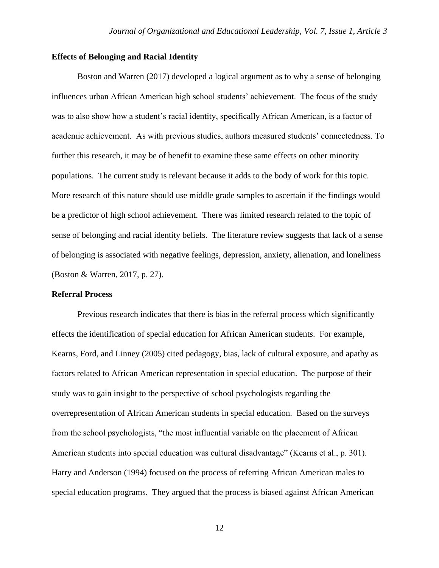#### **Effects of Belonging and Racial Identity**

Boston and Warren (2017) developed a logical argument as to why a sense of belonging influences urban African American high school students' achievement. The focus of the study was to also show how a student's racial identity, specifically African American, is a factor of academic achievement. As with previous studies, authors measured students' connectedness. To further this research, it may be of benefit to examine these same effects on other minority populations. The current study is relevant because it adds to the body of work for this topic. More research of this nature should use middle grade samples to ascertain if the findings would be a predictor of high school achievement. There was limited research related to the topic of sense of belonging and racial identity beliefs. The literature review suggests that lack of a sense of belonging is associated with negative feelings, depression, anxiety, alienation, and loneliness (Boston & Warren, 2017, p. 27).

#### **Referral Process**

Previous research indicates that there is bias in the referral process which significantly effects the identification of special education for African American students. For example, Kearns, Ford, and Linney (2005) cited pedagogy, bias, lack of cultural exposure, and apathy as factors related to African American representation in special education. The purpose of their study was to gain insight to the perspective of school psychologists regarding the overrepresentation of African American students in special education. Based on the surveys from the school psychologists, "the most influential variable on the placement of African American students into special education was cultural disadvantage" (Kearns et al., p. 301). Harry and Anderson (1994) focused on the process of referring African American males to special education programs. They argued that the process is biased against African American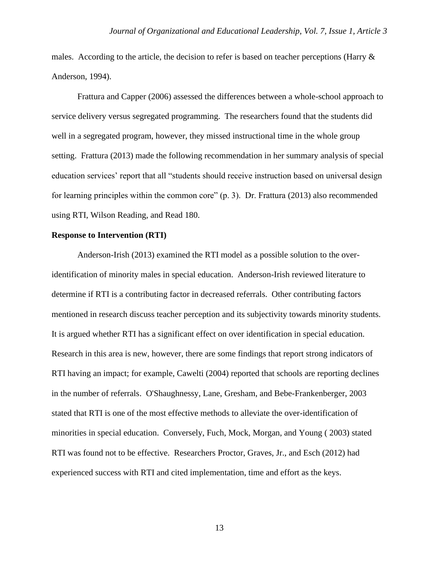males. According to the article, the decision to refer is based on teacher perceptions (Harry & Anderson, 1994).

Frattura and Capper (2006) assessed the differences between a whole-school approach to service delivery versus segregated programming. The researchers found that the students did well in a segregated program, however, they missed instructional time in the whole group setting. Frattura (2013) made the following recommendation in her summary analysis of special education services' report that all "students should receive instruction based on universal design for learning principles within the common core" (p. 3). Dr. Frattura (2013) also recommended using RTI, Wilson Reading, and Read 180.

#### **Response to Intervention (RTI)**

Anderson-Irish (2013) examined the RTI model as a possible solution to the overidentification of minority males in special education. Anderson-Irish reviewed literature to determine if RTI is a contributing factor in decreased referrals. Other contributing factors mentioned in research discuss teacher perception and its subjectivity towards minority students. It is argued whether RTI has a significant effect on over identification in special education. Research in this area is new, however, there are some findings that report strong indicators of RTI having an impact; for example, Cawelti (2004) reported that schools are reporting declines in the number of referrals. O'Shaughnessy, Lane, Gresham, and Bebe-Frankenberger, 2003 stated that RTI is one of the most effective methods to alleviate the over-identification of minorities in special education. Conversely, Fuch, Mock, Morgan, and Young ( 2003) stated RTI was found not to be effective. Researchers Proctor, Graves, Jr., and Esch (2012) had experienced success with RTI and cited implementation, time and effort as the keys.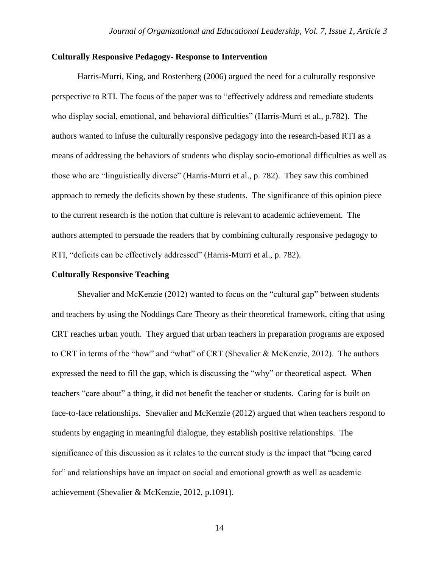#### **Culturally Responsive Pedagogy- Response to Intervention**

Harris-Murri, King, and Rostenberg (2006) argued the need for a culturally responsive perspective to RTI. The focus of the paper was to "effectively address and remediate students who display social, emotional, and behavioral difficulties" (Harris-Murri et al., p.782). The authors wanted to infuse the culturally responsive pedagogy into the research-based RTI as a means of addressing the behaviors of students who display socio-emotional difficulties as well as those who are "linguistically diverse" (Harris-Murri et al., p. 782). They saw this combined approach to remedy the deficits shown by these students. The significance of this opinion piece to the current research is the notion that culture is relevant to academic achievement. The authors attempted to persuade the readers that by combining culturally responsive pedagogy to RTI, "deficits can be effectively addressed" (Harris-Murri et al., p. 782).

#### **Culturally Responsive Teaching**

Shevalier and McKenzie (2012) wanted to focus on the "cultural gap" between students and teachers by using the Noddings Care Theory as their theoretical framework, citing that using CRT reaches urban youth. They argued that urban teachers in preparation programs are exposed to CRT in terms of the "how" and "what" of CRT (Shevalier & McKenzie, 2012). The authors expressed the need to fill the gap, which is discussing the "why" or theoretical aspect. When teachers "care about" a thing, it did not benefit the teacher or students. Caring for is built on face-to-face relationships. Shevalier and McKenzie (2012) argued that when teachers respond to students by engaging in meaningful dialogue, they establish positive relationships. The significance of this discussion as it relates to the current study is the impact that "being cared for" and relationships have an impact on social and emotional growth as well as academic achievement (Shevalier & McKenzie, 2012, p.1091).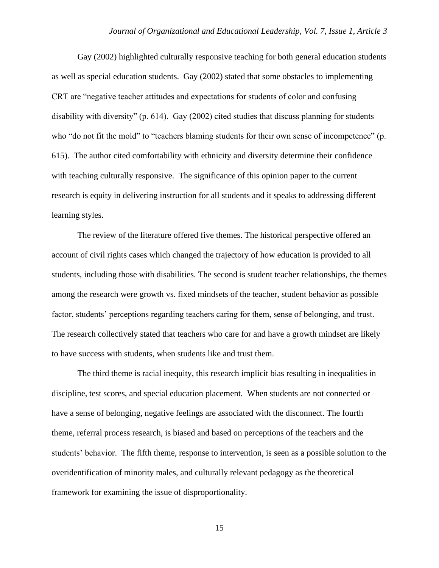Gay (2002) highlighted culturally responsive teaching for both general education students as well as special education students. Gay (2002) stated that some obstacles to implementing CRT are "negative teacher attitudes and expectations for students of color and confusing disability with diversity" (p. 614). Gay (2002) cited studies that discuss planning for students who "do not fit the mold" to "teachers blaming students for their own sense of incompetence" (p. 615). The author cited comfortability with ethnicity and diversity determine their confidence with teaching culturally responsive. The significance of this opinion paper to the current research is equity in delivering instruction for all students and it speaks to addressing different learning styles.

The review of the literature offered five themes. The historical perspective offered an account of civil rights cases which changed the trajectory of how education is provided to all students, including those with disabilities. The second is student teacher relationships, the themes among the research were growth vs. fixed mindsets of the teacher, student behavior as possible factor, students' perceptions regarding teachers caring for them, sense of belonging, and trust. The research collectively stated that teachers who care for and have a growth mindset are likely to have success with students, when students like and trust them.

The third theme is racial inequity, this research implicit bias resulting in inequalities in discipline, test scores, and special education placement. When students are not connected or have a sense of belonging, negative feelings are associated with the disconnect. The fourth theme, referral process research, is biased and based on perceptions of the teachers and the students' behavior. The fifth theme, response to intervention, is seen as a possible solution to the overidentification of minority males, and culturally relevant pedagogy as the theoretical framework for examining the issue of disproportionality.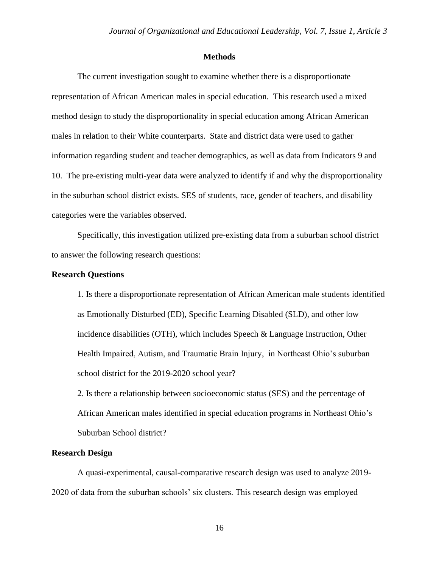#### **Methods**

The current investigation sought to examine whether there is a disproportionate representation of African American males in special education. This research used a mixed method design to study the disproportionality in special education among African American males in relation to their White counterparts. State and district data were used to gather information regarding student and teacher demographics, as well as data from Indicators 9 and 10. The pre-existing multi-year data were analyzed to identify if and why the disproportionality in the suburban school district exists. SES of students, race, gender of teachers, and disability categories were the variables observed.

Specifically, this investigation utilized pre-existing data from a suburban school district to answer the following research questions:

#### **Research Questions**

1. Is there a disproportionate representation of African American male students identified as Emotionally Disturbed (ED), Specific Learning Disabled (SLD), and other low incidence disabilities (OTH), which includes Speech & Language Instruction, Other Health Impaired, Autism, and Traumatic Brain Injury, in Northeast Ohio's suburban school district for the 2019-2020 school year?

2. Is there a relationship between socioeconomic status (SES) and the percentage of African American males identified in special education programs in Northeast Ohio's Suburban School district?

#### **Research Design**

A quasi-experimental, causal-comparative research design was used to analyze 2019- 2020 of data from the suburban schools' six clusters. This research design was employed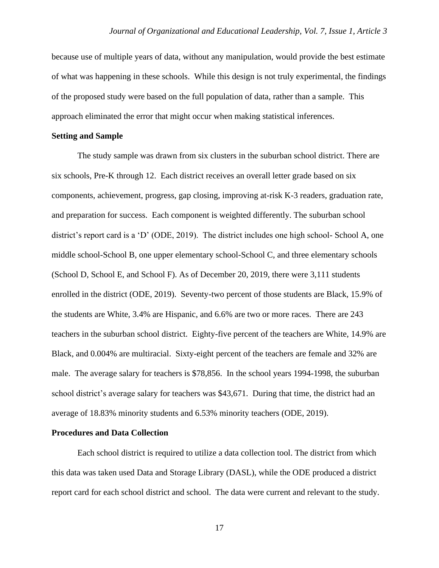because use of multiple years of data, without any manipulation, would provide the best estimate of what was happening in these schools. While this design is not truly experimental, the findings of the proposed study were based on the full population of data, rather than a sample. This approach eliminated the error that might occur when making statistical inferences.

#### **Setting and Sample**

The study sample was drawn from six clusters in the suburban school district. There are six schools, Pre-K through 12. Each district receives an overall letter grade based on six components, achievement, progress, gap closing, improving at-risk K-3 readers, graduation rate, and preparation for success. Each component is weighted differently. The suburban school district's report card is a 'D' (ODE, 2019). The district includes one high school- School A, one middle school-School B, one upper elementary school-School C, and three elementary schools (School D, School E, and School F). As of December 20, 2019, there were 3,111 students enrolled in the district (ODE, 2019). Seventy-two percent of those students are Black, 15.9% of the students are White, 3.4% are Hispanic, and 6.6% are two or more races. There are 243 teachers in the suburban school district. Eighty-five percent of the teachers are White, 14.9% are Black, and 0.004% are multiracial. Sixty-eight percent of the teachers are female and 32% are male. The average salary for teachers is \$78,856. In the school years 1994-1998, the suburban school district's average salary for teachers was \$43,671. During that time, the district had an average of 18.83% minority students and 6.53% minority teachers (ODE, 2019).

#### **Procedures and Data Collection**

Each school district is required to utilize a data collection tool. The district from which this data was taken used Data and Storage Library (DASL), while the ODE produced a district report card for each school district and school. The data were current and relevant to the study.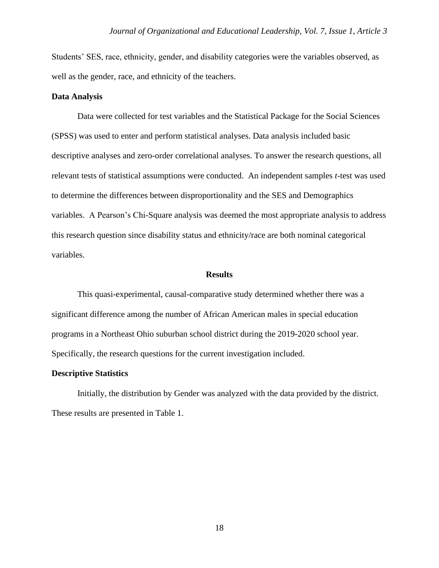Students' SES, race, ethnicity, gender, and disability categories were the variables observed, as well as the gender, race, and ethnicity of the teachers.

#### **Data Analysis**

Data were collected for test variables and the Statistical Package for the Social Sciences (SPSS) was used to enter and perform statistical analyses. Data analysis included basic descriptive analyses and zero-order correlational analyses. To answer the research questions, all relevant tests of statistical assumptions were conducted. An independent samples *t*-test was used to determine the differences between disproportionality and the SES and Demographics variables. A Pearson's Chi-Square analysis was deemed the most appropriate analysis to address this research question since disability status and ethnicity/race are both nominal categorical variables.

#### **Results**

This quasi-experimental, causal-comparative study determined whether there was a significant difference among the number of African American males in special education programs in a Northeast Ohio suburban school district during the 2019-2020 school year. Specifically, the research questions for the current investigation included.

#### **Descriptive Statistics**

Initially, the distribution by Gender was analyzed with the data provided by the district. These results are presented in Table 1.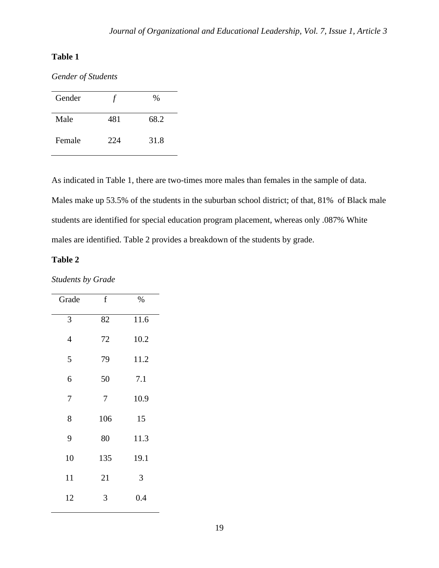# **Table 1**

*Gender of Students*

| Gender |     | %    |
|--------|-----|------|
| Male   | 481 | 68.2 |
| Female | 224 | 31.8 |

As indicated in Table 1, there are two-times more males than females in the sample of data. Males make up 53.5% of the students in the suburban school district; of that, 81% of Black male students are identified for special education program placement, whereas only .087% White males are identified. Table 2 provides a breakdown of the students by grade.

# **Table 2**

*Students by Grade* 

| Grade | $\mathbf f$ | %    |
|-------|-------------|------|
| 3     | 82          | 11.6 |
| 4     | 72          | 10.2 |
| 5     | 79          | 11.2 |
| 6     | 50          | 7.1  |
| 7     | 7           | 10.9 |
| 8     | 106         | 15   |
| 9     | 80          | 11.3 |
| 10    | 135         | 19.1 |
| 11    | 21          | 3    |
| 12    | 3           | 0.4  |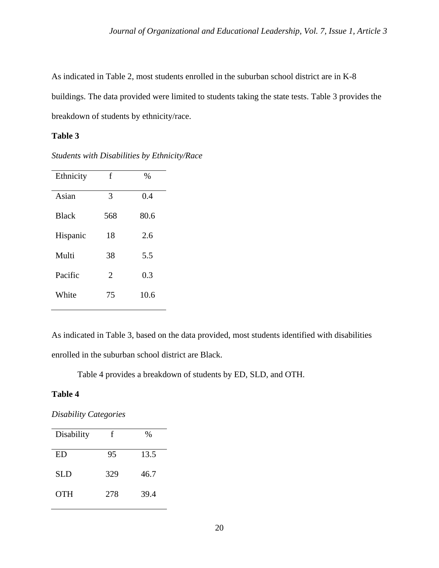As indicated in Table 2, most students enrolled in the suburban school district are in K-8 buildings. The data provided were limited to students taking the state tests. Table 3 provides the breakdown of students by ethnicity/race.

## **Table 3**

*Students with Disabilities by Ethnicity/Race*

| Ethnicity    | f   | $\%$ |
|--------------|-----|------|
| Asian        | 3   | 0.4  |
| <b>Black</b> | 568 | 80.6 |
| Hispanic     | 18  | 2.6  |
| Multi        | 38  | 5.5  |
| Pacific      | 2   | 0.3  |
| White        | 75  | 10.6 |

As indicated in Table 3, based on the data provided, most students identified with disabilities enrolled in the suburban school district are Black.

Table 4 provides a breakdown of students by ED, SLD, and OTH.

### **Table 4**

*Disability Categories*

| Disability | f   | %    |
|------------|-----|------|
| <b>ED</b>  | 95  | 13.5 |
| <b>SLD</b> | 329 | 46.7 |
| <b>OTH</b> | 278 | 39.4 |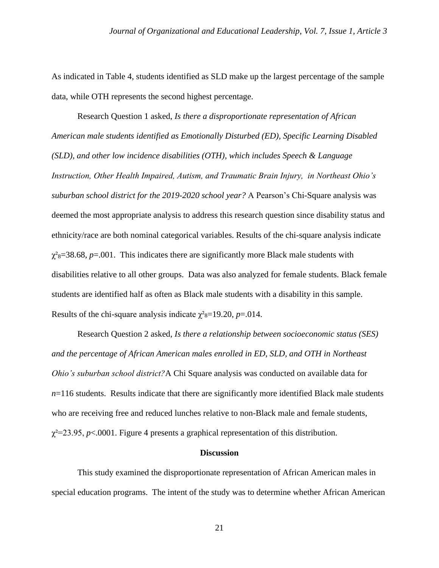As indicated in Table 4, students identified as SLD make up the largest percentage of the sample data, while OTH represents the second highest percentage.

Research Question 1 asked, *Is there a disproportionate representation of African American male students identified as Emotionally Disturbed (ED), Specific Learning Disabled (SLD), and other low incidence disabilities (OTH), which includes Speech & Language Instruction, Other Health Impaired, Autism, and Traumatic Brain Injury, in Northeast Ohio's suburban school district for the 2019-2020 school year?* A Pearson's Chi-Square analysis was deemed the most appropriate analysis to address this research question since disability status and ethnicity/race are both nominal categorical variables. Results of the chi-square analysis indicate  $\chi^2$ <sub>8</sub>=38.68, *p*=.001. This indicates there are significantly more Black male students with disabilities relative to all other groups. Data was also analyzed for female students. Black female students are identified half as often as Black male students with a disability in this sample. Results of the chi-square analysis indicate  $\chi^2$ <sub>8</sub>=19.20, *p*=.014.

Research Question 2 asked*, Is there a relationship between socioeconomic status (SES) and the percentage of African American males enrolled in ED, SLD, and OTH in Northeast Ohio's suburban school district?*A Chi Square analysis was conducted on available data for  $n=116$  students. Results indicate that there are significantly more identified Black male students who are receiving free and reduced lunches relative to non-Black male and female students,  $\chi^2$ =23.95, *p*<.0001. Figure 4 presents a graphical representation of this distribution.

#### **Discussion**

This study examined the disproportionate representation of African American males in special education programs. The intent of the study was to determine whether African American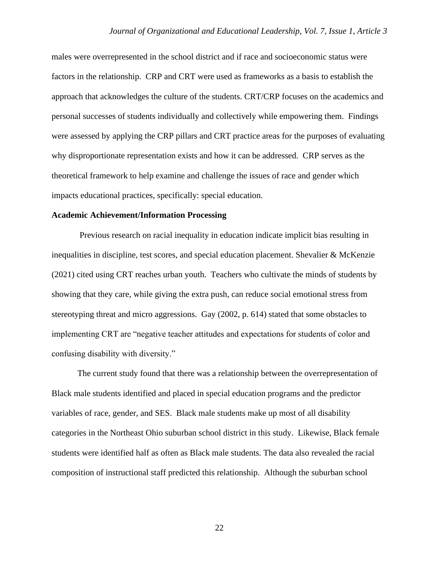males were overrepresented in the school district and if race and socioeconomic status were factors in the relationship. CRP and CRT were used as frameworks as a basis to establish the approach that acknowledges the culture of the students. CRT/CRP focuses on the academics and personal successes of students individually and collectively while empowering them. Findings were assessed by applying the CRP pillars and CRT practice areas for the purposes of evaluating why disproportionate representation exists and how it can be addressed. CRP serves as the theoretical framework to help examine and challenge the issues of race and gender which impacts educational practices, specifically: special education.

#### **Academic Achievement/Information Processing**

Previous research on racial inequality in education indicate implicit bias resulting in inequalities in discipline, test scores, and special education placement. Shevalier & McKenzie (2021) cited using CRT reaches urban youth. Teachers who cultivate the minds of students by showing that they care, while giving the extra push, can reduce social emotional stress from stereotyping threat and micro aggressions. Gay (2002, p. 614) stated that some obstacles to implementing CRT are "negative teacher attitudes and expectations for students of color and confusing disability with diversity."

The current study found that there was a relationship between the overrepresentation of Black male students identified and placed in special education programs and the predictor variables of race, gender, and SES. Black male students make up most of all disability categories in the Northeast Ohio suburban school district in this study. Likewise, Black female students were identified half as often as Black male students. The data also revealed the racial composition of instructional staff predicted this relationship. Although the suburban school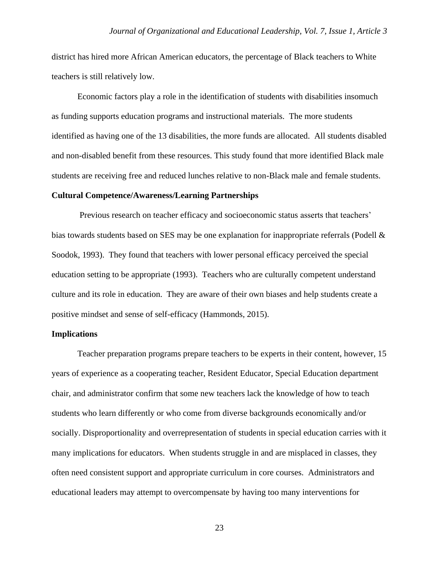district has hired more African American educators, the percentage of Black teachers to White teachers is still relatively low.

Economic factors play a role in the identification of students with disabilities insomuch as funding supports education programs and instructional materials. The more students identified as having one of the 13 disabilities, the more funds are allocated. All students disabled and non-disabled benefit from these resources. This study found that more identified Black male students are receiving free and reduced lunches relative to non-Black male and female students.

#### **Cultural Competence/Awareness/Learning Partnerships**

Previous research on teacher efficacy and socioeconomic status asserts that teachers' bias towards students based on SES may be one explanation for inappropriate referrals (Podell & Soodok, 1993). They found that teachers with lower personal efficacy perceived the special education setting to be appropriate (1993). Teachers who are culturally competent understand culture and its role in education. They are aware of their own biases and help students create a positive mindset and sense of self-efficacy (Hammonds, 2015).

#### **Implications**

Teacher preparation programs prepare teachers to be experts in their content, however, 15 years of experience as a cooperating teacher, Resident Educator, Special Education department chair, and administrator confirm that some new teachers lack the knowledge of how to teach students who learn differently or who come from diverse backgrounds economically and/or socially. Disproportionality and overrepresentation of students in special education carries with it many implications for educators. When students struggle in and are misplaced in classes, they often need consistent support and appropriate curriculum in core courses. Administrators and educational leaders may attempt to overcompensate by having too many interventions for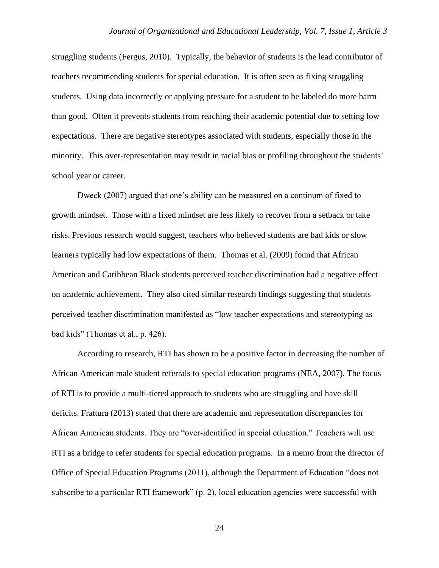struggling students (Fergus, 2010). Typically, the behavior of students is the lead contributor of teachers recommending students for special education. It is often seen as fixing struggling students. Using data incorrectly or applying pressure for a student to be labeled do more harm than good. Often it prevents students from reaching their academic potential due to setting low expectations. There are negative stereotypes associated with students, especially those in the minority. This over-representation may result in racial bias or profiling throughout the students' school year or career.

Dweck (2007) argued that one's ability can be measured on a continum of fixed to growth mindset. Those with a fixed mindset are less likely to recover from a setback or take risks. Previous research would suggest, teachers who believed students are bad kids or slow learners typically had low expectations of them. Thomas et al. (2009) found that African American and Caribbean Black students perceived teacher discrimination had a negative effect on academic achievement. They also cited similar research findings suggesting that students perceived teacher discrimination manifested as "low teacher expectations and stereotyping as bad kids" (Thomas et al., p. 426).

According to research, RTI has shown to be a positive factor in decreasing the number of African American male student referrals to special education programs (NEA, 2007). The focus of RTI is to provide a multi-tiered approach to students who are struggling and have skill deficits. Frattura (2013) stated that there are academic and representation discrepancies for African American students. They are "over-identified in special education." Teachers will use RTI as a bridge to refer students for special education programs. In a memo from the director of Office of Special Education Programs (2011), although the Department of Education "does not subscribe to a particular RTI framework" (p. 2), local education agencies were successful with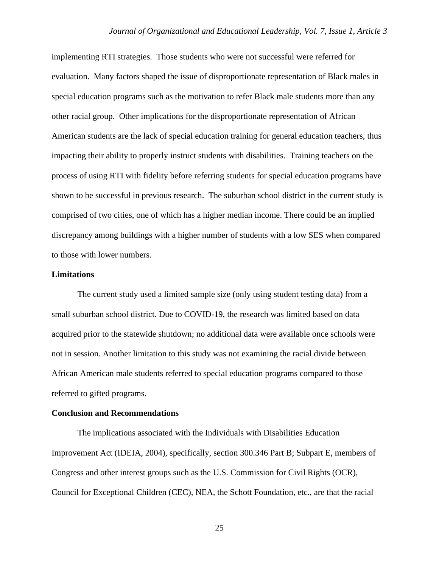implementing RTI strategies. Those students who were not successful were referred for evaluation. Many factors shaped the issue of disproportionate representation of Black males in special education programs such as the motivation to refer Black male students more than any other racial group. Other implications for the disproportionate representation of African American students are the lack of special education training for general education teachers, thus impacting their ability to properly instruct students with disabilities. Training teachers on the process of using RTI with fidelity before referring students for special education programs have shown to be successful in previous research. The suburban school district in the current study is comprised of two cities, one of which has a higher median income. There could be an implied discrepancy among buildings with a higher number of students with a low SES when compared to those with lower numbers.

#### **Limitations**

The current study used a limited sample size (only using student testing data) from a small suburban school district. Due to COVID-19, the research was limited based on data acquired prior to the statewide shutdown; no additional data were available once schools were not in session. Another limitation to this study was not examining the racial divide between African American male students referred to special education programs compared to those referred to gifted programs.

#### **Conclusion and Recommendations**

The implications associated with the Individuals with Disabilities Education Improvement Act (IDEIA, 2004), specifically, section 300.346 Part B; Subpart E, members of Congress and other interest groups such as the U.S. Commission for Civil Rights (OCR), Council for Exceptional Children (CEC), NEA, the Schott Foundation, etc., are that the racial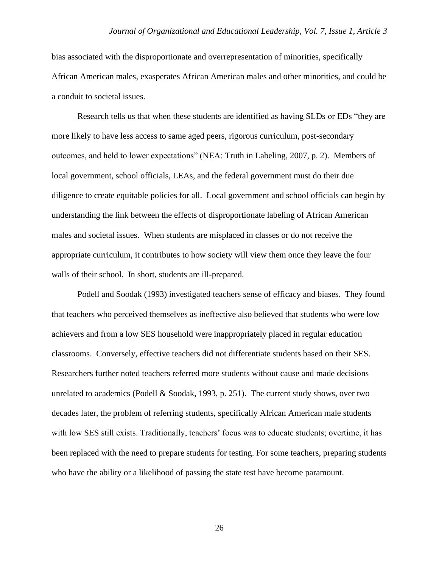bias associated with the disproportionate and overrepresentation of minorities, specifically African American males, exasperates African American males and other minorities, and could be a conduit to societal issues.

Research tells us that when these students are identified as having SLDs or EDs "they are more likely to have less access to same aged peers, rigorous curriculum, post-secondary outcomes, and held to lower expectations" (NEA: Truth in Labeling, 2007, p. 2). Members of local government, school officials, LEAs, and the federal government must do their due diligence to create equitable policies for all. Local government and school officials can begin by understanding the link between the effects of disproportionate labeling of African American males and societal issues. When students are misplaced in classes or do not receive the appropriate curriculum, it contributes to how society will view them once they leave the four walls of their school. In short, students are ill-prepared.

Podell and Soodak (1993) investigated teachers sense of efficacy and biases. They found that teachers who perceived themselves as ineffective also believed that students who were low achievers and from a low SES household were inappropriately placed in regular education classrooms. Conversely, effective teachers did not differentiate students based on their SES. Researchers further noted teachers referred more students without cause and made decisions unrelated to academics (Podell & Soodak, 1993, p. 251). The current study shows, over two decades later, the problem of referring students, specifically African American male students with low SES still exists. Traditionally, teachers' focus was to educate students; overtime, it has been replaced with the need to prepare students for testing. For some teachers, preparing students who have the ability or a likelihood of passing the state test have become paramount.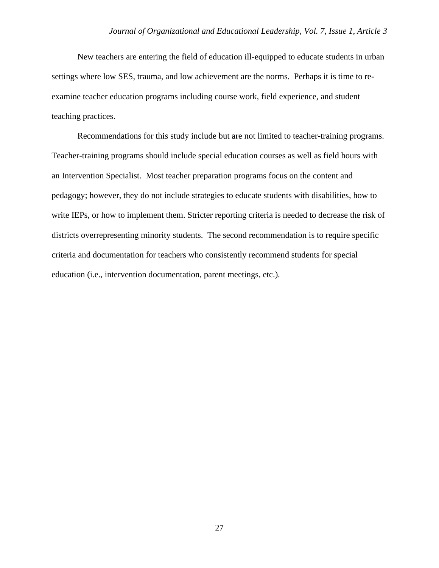New teachers are entering the field of education ill-equipped to educate students in urban settings where low SES, trauma, and low achievement are the norms. Perhaps it is time to reexamine teacher education programs including course work, field experience, and student teaching practices.

Recommendations for this study include but are not limited to teacher-training programs. Teacher-training programs should include special education courses as well as field hours with an Intervention Specialist. Most teacher preparation programs focus on the content and pedagogy; however, they do not include strategies to educate students with disabilities, how to write IEPs, or how to implement them. Stricter reporting criteria is needed to decrease the risk of districts overrepresenting minority students. The second recommendation is to require specific criteria and documentation for teachers who consistently recommend students for special education (i.e., intervention documentation, parent meetings, etc.).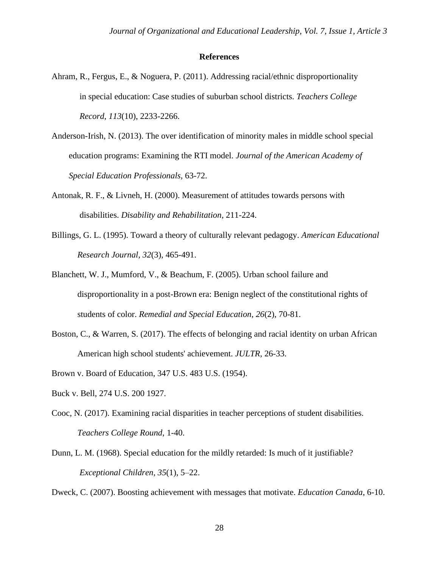#### **References**

- Ahram, R., Fergus, E., & Noguera, P. (2011). Addressing racial/ethnic disproportionality in special education: Case studies of suburban school districts. *Teachers College Record*, *113*(10), 2233-2266.
- Anderson-Irish, N. (2013). The over identification of minority males in middle school special education programs: Examining the RTI model. *Journal of the American Academy of Special Education Professionals,* 63-72.
- Antonak, R. F., & Livneh, H. (2000). Measurement of attitudes towards persons with disabilities. *Disability and Rehabilitation*, 211-224.
- Billings, G. L. (1995). Toward a theory of culturally relevant pedagogy. *American Educational Research Journal*, *32*(3), 465-491.
- Blanchett, W. J., Mumford, V., & Beachum, F. (2005). Urban school failure and disproportionality in a post-Brown era: Benign neglect of the constitutional rights of students of color. *Remedial and Special Education*, *26*(2), 70-81.
- Boston, C., & Warren, S. (2017). The effects of belonging and racial identity on urban African American high school students' achievement. *JULTR*, 26-33.
- Brown v. Board of Education, 347 U.S. 483 U.S. (1954).
- Buck v. Bell, 274 U.S. 200 1927.
- Cooc, N. (2017). Examining racial disparities in teacher perceptions of student disabilities. *Teachers College Round*, 1-40.
- Dunn, L. M. (1968). Special education for the mildly retarded: Is much of it justifiable? *Exceptional Children*, *35*(1), 5–22.

Dweck, C. (2007). Boosting achievement with messages that motivate. *Education Canada*, 6-10.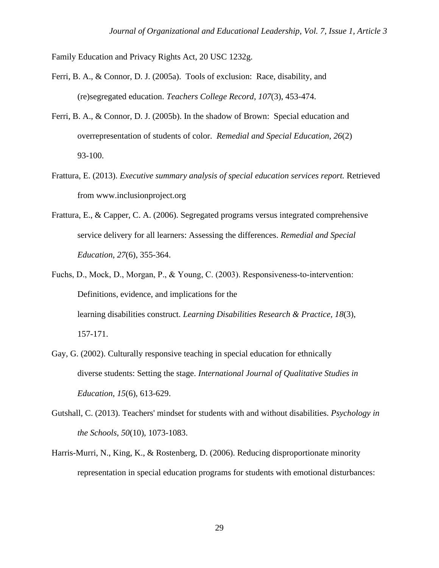Family Education and Privacy Rights Act, 20 USC 1232g.

- Ferri, B. A., & Connor, D. J. (2005a). Tools of exclusion: Race, disability, and (re)segregated education. *Teachers College Record*, *107*(3), 453-474.
- Ferri, B. A., & Connor, D. J. (2005b). In the shadow of Brown: Special education and overrepresentation of students of color. *Remedial and Special Education*, *26*(2) 93-100.
- Frattura, E. (2013). *Executive summary analysis of special education services report.* Retrieved from www.inclusionproject.org
- Frattura, E., & Capper, C. A. (2006). Segregated programs versus integrated comprehensive service delivery for all learners: Assessing the differences. *Remedial and Special Education*, *27*(6), 355-364.
- Fuchs, D., Mock, D., Morgan, P., & Young, C. (2003). Responsiveness-to-intervention: Definitions, evidence, and implications for the learning disabilities construct. *Learning Disabilities Research & Practice, 18*(3), 157-171.
- Gay, G. (2002). Culturally responsive teaching in special education for ethnically diverse students: Setting the stage. *International Journal of Qualitative Studies in Education*, *15*(6), 613-629.
- Gutshall, C. (2013). Teachers' mindset for students with and without disabilities. *Psychology in the Schools*, *50*(10), 1073-1083.
- Harris-Murri, N., King, K., & Rostenberg, D. (2006). Reducing disproportionate minority representation in special education programs for students with emotional disturbances: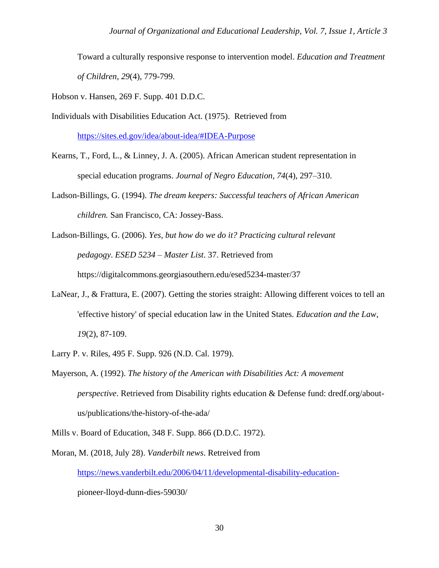Toward a culturally responsive response to intervention model. *Education and Treatment of Children*, *29*(4), 779-799.

Hobson v. Hansen, 269 F. Supp. 401 D.D.C.

Individuals with Disabilities Education Act. (1975). Retrieved from

[https://sites.ed.gov/idea/about-idea/#IDEA-Purpose](about:blank)

- Kearns, T., Ford, L., & Linney, J. A. (2005). African American student representation in special education programs. *Journal of Negro Education, 74*(4), 297–310.
- Ladson-Billings, G. (1994). *The dream keepers: Successful teachers of African American children.* San Francisco, CA: Jossey-Bass.

Ladson-Billings, G. (2006). *Yes, but how do we do it? Practicing cultural relevant pedagogy*. *ESED 5234 – Master List*. 37. Retrieved from https://digitalcommons.georgiasouthern.edu/esed5234-master/37

- LaNear, J., & Frattura, E. (2007). Getting the stories straight: Allowing different voices to tell an 'effective history' of special education law in the United States. *Education and the Law*, *19*(2), 87-109.
- Larry P. v. Riles, 495 F. Supp. 926 (N.D. Cal. 1979).
- Mayerson, A. (1992). *The history of the American with Disabilities Act: A movement perspective*. Retrieved from Disability rights education & Defense fund: dredf.org/aboutus/publications/the-history-of-the-ada/

Mills v. Board of Education, 348 F. Supp. 866 (D.D.C. 1972).

Moran, M. (2018, July 28). *Vanderbilt news*. Retreived from [https://news.vanderbilt.edu/2006/04/11/developmental-disability-education](about:blank)pioneer-lloyd-dunn-dies-59030/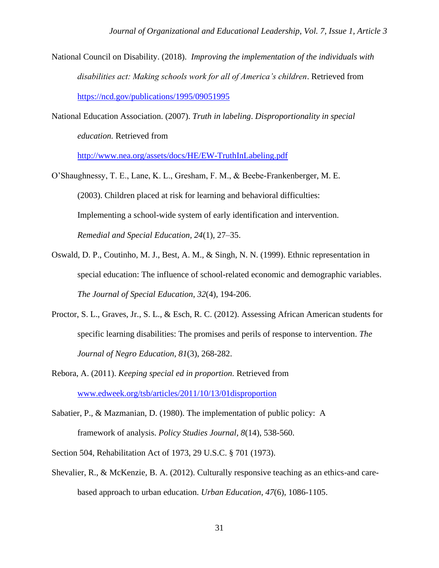- National Council on Disability. (2018). *Improving the implementation of the individuals with disabilities act: Making schools work for all of America's children*. Retrieved from [https://ncd.gov/publications/1995/09051995](about:blank)
- National Education Association. (2007). *Truth in labeling*. *Disproportionality in special education.* Retrieved from

[http://www.nea.org/assets/docs/HE/EW-TruthInLabeling.pdf](about:blank)

- O'Shaughnessy, T. E., Lane, K. L., Gresham, F. M., & Beebe-Frankenberger, M. E. (2003). Children placed at risk for learning and behavioral difficulties: Implementing a school-wide system of early identification and intervention. *Remedial and Special Education, 24*(1), 27–35.
- Oswald, D. P., Coutinho, M. J., Best, A. M., & Singh, N. N. (1999). Ethnic representation in special education: The influence of school-related economic and demographic variables. *The Journal of Special Education*, *32*(4), 194-206.
- Proctor, S. L., Graves, Jr., S. L., & Esch, R. C. (2012). Assessing African American students for specific learning disabilities: The promises and perils of response to intervention. *The Journal of Negro Education*, *81*(3), 268-282.
- Rebora, A. (2011). *Keeping special ed in proportion.* Retrieved from [www.edweek.org/tsb/articles/2011/10/13/01disproportion](about:blank)
- Sabatier, P., & Mazmanian, D. (1980). The implementation of public policy: A framework of analysis. *Policy Studies Journal, 8*(14), 538-560.
- Section 504, Rehabilitation Act of 1973, 29 U.S.C. § 701 (1973).
- Shevalier, R., & McKenzie, B. A. (2012). Culturally responsive teaching as an ethics-and carebased approach to urban education. *Urban Education*, *47*(6), 1086-1105.